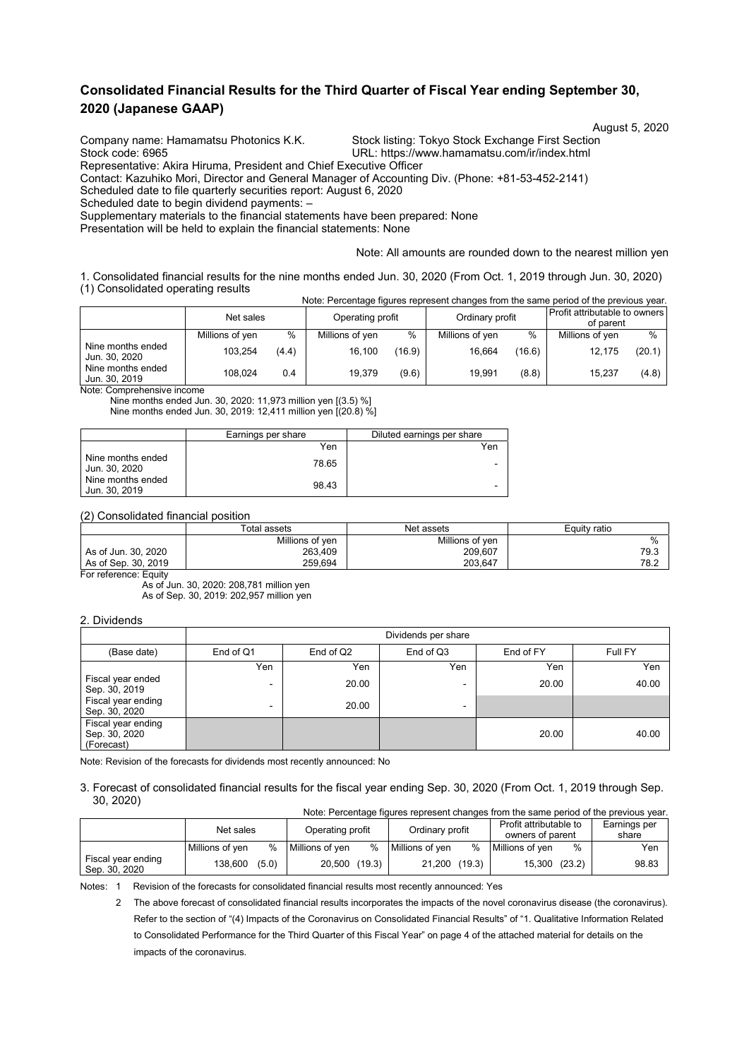## **Consolidated Financial Results for the Third Quarter of Fiscal Year ending September 30, 2020 (Japanese GAAP)**

Stock code: 6965 URL: https://www.hamamatsu.com/ir/index.html

August 5, 2020<br>Company name: Hamamatsu Photonics K.K. Stock listing: Tokyo Stock Exchange First Section Stock listing: Tokyo Stock Exchange First Section

Representative: Akira Hiruma, President and Chief Executive Officer

Contact: Kazuhiko Mori, Director and General Manager of Accounting Div. (Phone: +81-53-452-2141)

Scheduled date to file quarterly securities report: August 6, 2020

Scheduled date to begin dividend payments: –

Supplementary materials to the financial statements have been prepared: None

Presentation will be held to explain the financial statements: None

#### Note: All amounts are rounded down to the nearest million yen

1. Consolidated financial results for the nine months ended Jun. 30, 2020 (From Oct. 1, 2019 through Jun. 30, 2020) (1) Consolidated operating results Note: Percentage figures represent changes from the same period of the previous year.

|                                    |                 |       |                  |        |                 |        | TVOIG. FUICULIQUE TIQUI US TUDI USUIT CHATIQUES TIONIT LITU SANTU DENOU OF LITU DI UNUIS VUAT. |        |
|------------------------------------|-----------------|-------|------------------|--------|-----------------|--------|------------------------------------------------------------------------------------------------|--------|
|                                    | Net sales       |       | Operating profit |        | Ordinary profit |        | Profit attributable to owners<br>of parent                                                     |        |
|                                    | Millions of yen | %     | Millions of yen  | $\%$   | Millions of yen | %      | Millions of yen                                                                                | $\%$   |
| Nine months ended<br>Jun. 30, 2020 | 103.254         | (4.4) | 16.100           | (16.9) | 16.664          | (16.6) | 12.175                                                                                         | (20.1) |
| Nine months ended<br>Jun. 30, 2019 | 108.024         | 0.4   | 19.379           | (9.6)  | 19.991          | (8.8)  | 15.237                                                                                         | (4.8)  |

Note: Comprehensive income

Nine months ended Jun. 30, 2020: 11,973 million yen [(3.5) %] Nine months ended Jun. 30, 2019: 12,411 million yen [(20.8) %]

|                                    | Earnings per share | Diluted earnings per share |
|------------------------------------|--------------------|----------------------------|
|                                    | Yen                | Yen                        |
| Nine months ended<br>Jun. 30, 2020 | 78.65              |                            |
| Nine months ended<br>Jun. 30, 2019 | 98.43              | -                          |

(2) Consolidated financial position

|                     | Total assets    | Net assets      | Equity ratio |  |  |
|---------------------|-----------------|-----------------|--------------|--|--|
|                     | Millions of ven | Millions of ven | %            |  |  |
| As of Jun. 30, 2020 | 263,409         | 209,607         | 79.3         |  |  |
| As of Sep. 30, 2019 | 259.694         | 203.647         | 78.2         |  |  |

For reference: Equity

As of Jun. 30, 2020: 208,781 million yen As of Sep. 30, 2019: 202,957 million yen

#### 2. Dividends

|                                                   | Dividends per share |           |                          |           |         |  |  |  |  |  |
|---------------------------------------------------|---------------------|-----------|--------------------------|-----------|---------|--|--|--|--|--|
| (Base date)                                       | End of Q1           | End of Q2 | End of Q3                | End of FY | Full FY |  |  |  |  |  |
|                                                   | Yen                 | Yen       | Yen                      | Yen       | Yen     |  |  |  |  |  |
| Fiscal year ended<br>Sep. 30, 2019                | ٠                   | 20.00     |                          | 20.00     | 40.00   |  |  |  |  |  |
| Fiscal year ending<br>Sep. 30, 2020               | $\blacksquare$      | 20.00     | $\overline{\phantom{0}}$ |           |         |  |  |  |  |  |
| Fiscal year ending<br>Sep. 30, 2020<br>(Forecast) |                     |           |                          | 20.00     | 40.00   |  |  |  |  |  |

Note: Revision of the forecasts for dividends most recently announced: No

#### 3. Forecast of consolidated financial results for the fiscal year ending Sep. 30, 2020 (From Oct. 1, 2019 through Sep. 30, 2020) Note: Percentage figures represent changes from the same period of the previous year.

|                                     | TWOIG. I Crochildge highrest represent changes from the same penda or the previous year. |       |                  |   |                 |        |                        |   |              |
|-------------------------------------|------------------------------------------------------------------------------------------|-------|------------------|---|-----------------|--------|------------------------|---|--------------|
|                                     | Net sales                                                                                |       | Operating profit |   | Ordinary profit |        | Profit attributable to |   | Earnings per |
|                                     |                                                                                          |       |                  |   |                 |        | owners of parent       |   | share        |
|                                     | Millions of ven                                                                          | %     | Millions of yen  | % | Millions of ven | $\%$   | Millions of yen        | % | Yen          |
| Fiscal year ending<br>Sep. 30, 2020 | 138,600                                                                                  | (5.0) | 20,500 (19.3)    |   | 21,200          | (19.3) | 15,300 (23.2)          |   | 98.83        |

Notes: 1 Revision of the forecasts for consolidated financial results most recently announced: Yes

 2 The above forecast of consolidated financial results incorporates the impacts of the novel coronavirus disease (the coronavirus). Refer to the section of "(4) Impacts of the Coronavirus on Consolidated Financial Results" of "1. Qualitative Information Related to Consolidated Performance for the Third Quarter of this Fiscal Year" on page 4 of the attached material for details on the impacts of the coronavirus.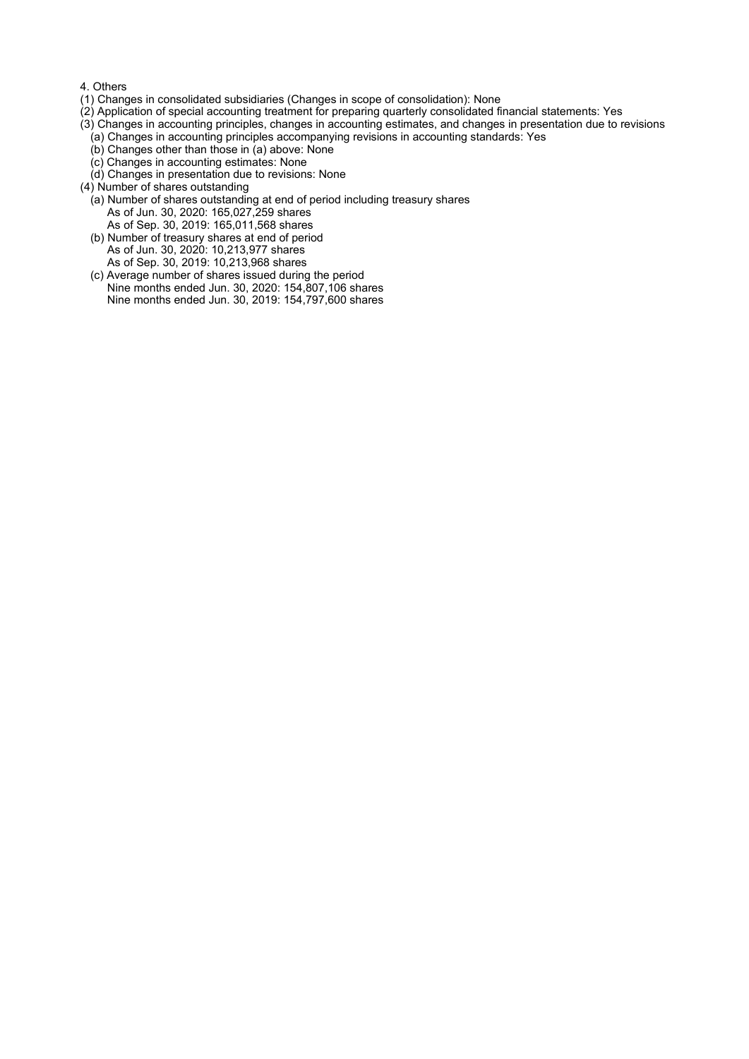#### 4. Others

- (1) Changes in consolidated subsidiaries (Changes in scope of consolidation): None
- (2) Application of special accounting treatment for preparing quarterly consolidated financial statements: Yes
- (3) Changes in accounting principles, changes in accounting estimates, and changes in presentation due to revisions
- (a) Changes in accounting principles accompanying revisions in accounting standards: Yes
- (b) Changes other than those in (a) above: None
- (c) Changes in accounting estimates: None
- (d) Changes in presentation due to revisions: None
- (4) Number of shares outstanding
	- (a) Number of shares outstanding at end of period including treasury shares As of Jun. 30, 2020: 165,027,259 shares As of Sep. 30, 2019: 165,011,568 shares
	- (b) Number of treasury shares at end of period As of Jun. 30, 2020: 10,213,977 shares As of Sep. 30, 2019: 10,213,968 shares
	- (c) Average number of shares issued during the period Nine months ended Jun. 30, 2020: 154,807,106 shares Nine months ended Jun. 30, 2019: 154,797,600 shares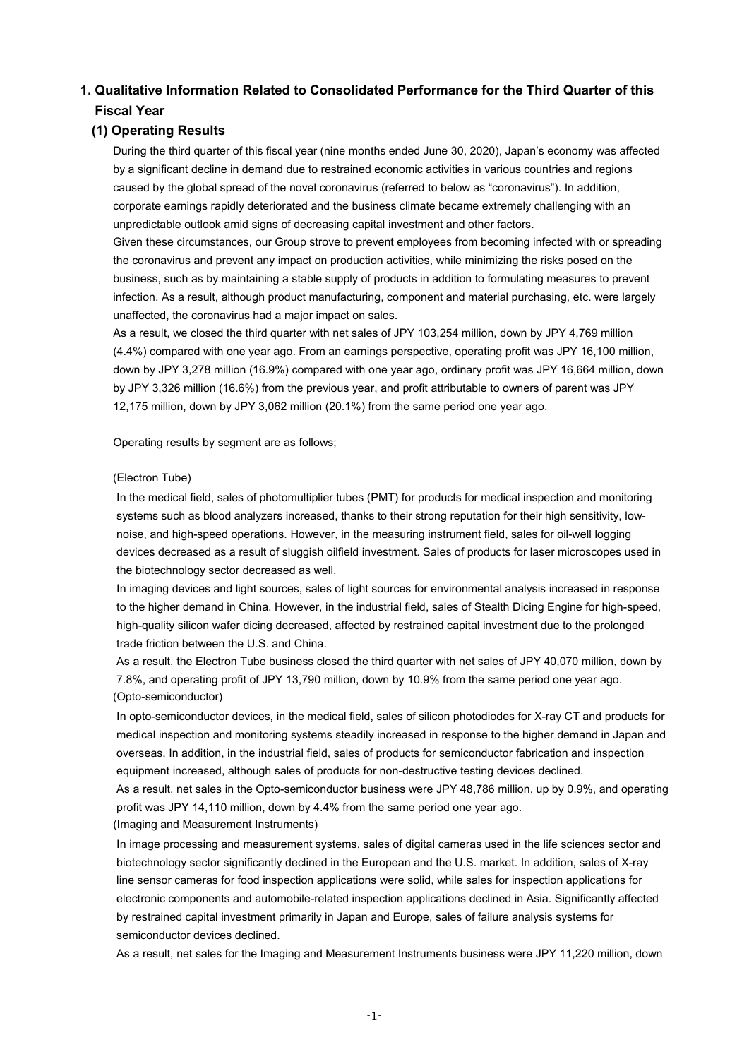# **1. Qualitative Information Related to Consolidated Performance for the Third Quarter of this Fiscal Year**

## **(1) Operating Results**

During the third quarter of this fiscal year (nine months ended June 30, 2020), Japan's economy was affected by a significant decline in demand due to restrained economic activities in various countries and regions caused by the global spread of the novel coronavirus (referred to below as "coronavirus"). In addition, corporate earnings rapidly deteriorated and the business climate became extremely challenging with an unpredictable outlook amid signs of decreasing capital investment and other factors.

Given these circumstances, our Group strove to prevent employees from becoming infected with or spreading the coronavirus and prevent any impact on production activities, while minimizing the risks posed on the business, such as by maintaining a stable supply of products in addition to formulating measures to prevent infection. As a result, although product manufacturing, component and material purchasing, etc. were largely unaffected, the coronavirus had a major impact on sales.

As a result, we closed the third quarter with net sales of JPY 103,254 million, down by JPY 4,769 million (4.4%) compared with one year ago. From an earnings perspective, operating profit was JPY 16,100 million, down by JPY 3,278 million (16.9%) compared with one year ago, ordinary profit was JPY 16,664 million, down by JPY 3,326 million (16.6%) from the previous year, and profit attributable to owners of parent was JPY 12,175 million, down by JPY 3,062 million (20.1%) from the same period one year ago.

Operating results by segment are as follows;

#### (Electron Tube)

In the medical field, sales of photomultiplier tubes (PMT) for products for medical inspection and monitoring systems such as blood analyzers increased, thanks to their strong reputation for their high sensitivity, lownoise, and high-speed operations. However, in the measuring instrument field, sales for oil-well logging devices decreased as a result of sluggish oilfield investment. Sales of products for laser microscopes used in the biotechnology sector decreased as well.

In imaging devices and light sources, sales of light sources for environmental analysis increased in response to the higher demand in China. However, in the industrial field, sales of Stealth Dicing Engine for high-speed, high-quality silicon wafer dicing decreased, affected by restrained capital investment due to the prolonged trade friction between the U.S. and China.

As a result, the Electron Tube business closed the third quarter with net sales of JPY 40,070 million, down by 7.8%, and operating profit of JPY 13,790 million, down by 10.9% from the same period one year ago. (Opto-semiconductor)

In opto-semiconductor devices, in the medical field, sales of silicon photodiodes for X-ray CT and products for medical inspection and monitoring systems steadily increased in response to the higher demand in Japan and overseas. In addition, in the industrial field, sales of products for semiconductor fabrication and inspection equipment increased, although sales of products for non-destructive testing devices declined.

As a result, net sales in the Opto-semiconductor business were JPY 48,786 million, up by 0.9%, and operating profit was JPY 14,110 million, down by 4.4% from the same period one year ago. (Imaging and Measurement Instruments)

In image processing and measurement systems, sales of digital cameras used in the life sciences sector and biotechnology sector significantly declined in the European and the U.S. market. In addition, sales of X-ray line sensor cameras for food inspection applications were solid, while sales for inspection applications for electronic components and automobile-related inspection applications declined in Asia. Significantly affected by restrained capital investment primarily in Japan and Europe, sales of failure analysis systems for semiconductor devices declined.

As a result, net sales for the Imaging and Measurement Instruments business were JPY 11,220 million, down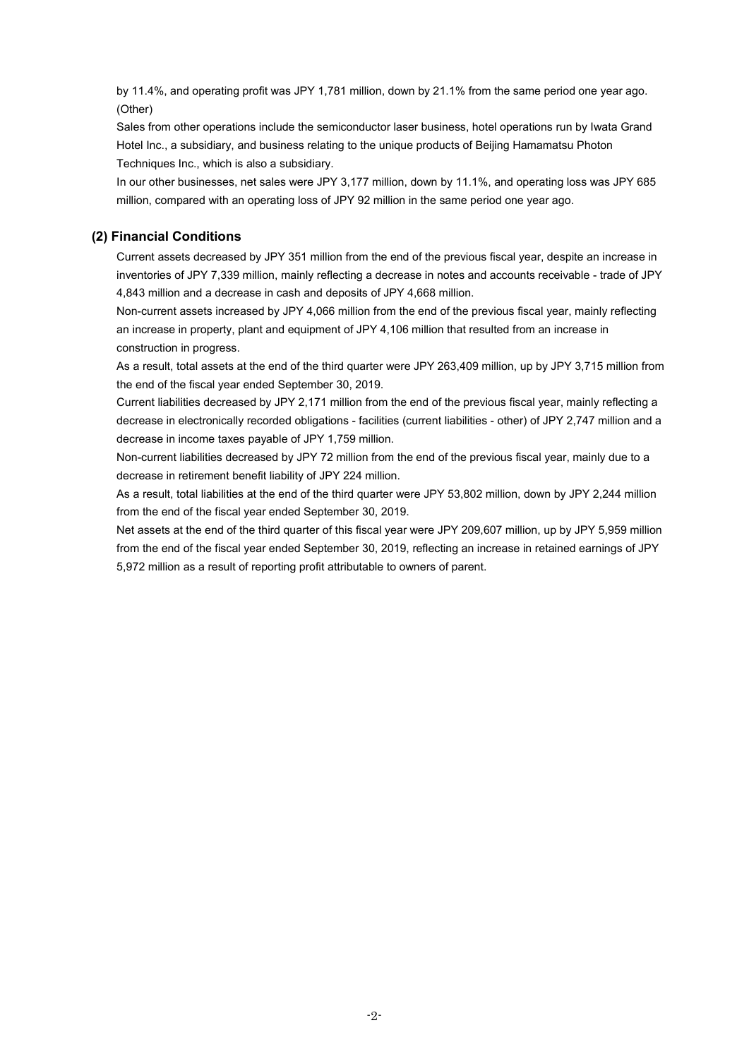by 11.4%, and operating profit was JPY 1,781 million, down by 21.1% from the same period one year ago. (Other)

Sales from other operations include the semiconductor laser business, hotel operations run by Iwata Grand Hotel Inc., a subsidiary, and business relating to the unique products of Beijing Hamamatsu Photon Techniques Inc., which is also a subsidiary.

In our other businesses, net sales were JPY 3,177 million, down by 11.1%, and operating loss was JPY 685 million, compared with an operating loss of JPY 92 million in the same period one year ago.

### **(2) Financial Conditions**

Current assets decreased by JPY 351 million from the end of the previous fiscal year, despite an increase in inventories of JPY 7,339 million, mainly reflecting a decrease in notes and accounts receivable - trade of JPY 4,843 million and a decrease in cash and deposits of JPY 4,668 million.

Non-current assets increased by JPY 4,066 million from the end of the previous fiscal year, mainly reflecting an increase in property, plant and equipment of JPY 4,106 million that resulted from an increase in construction in progress.

As a result, total assets at the end of the third quarter were JPY 263,409 million, up by JPY 3,715 million from the end of the fiscal year ended September 30, 2019.

Current liabilities decreased by JPY 2,171 million from the end of the previous fiscal year, mainly reflecting a decrease in electronically recorded obligations - facilities (current liabilities - other) of JPY 2,747 million and a decrease in income taxes payable of JPY 1,759 million.

Non-current liabilities decreased by JPY 72 million from the end of the previous fiscal year, mainly due to a decrease in retirement benefit liability of JPY 224 million.

As a result, total liabilities at the end of the third quarter were JPY 53,802 million, down by JPY 2,244 million from the end of the fiscal year ended September 30, 2019.

Net assets at the end of the third quarter of this fiscal year were JPY 209,607 million, up by JPY 5,959 million from the end of the fiscal year ended September 30, 2019, reflecting an increase in retained earnings of JPY 5,972 million as a result of reporting profit attributable to owners of parent.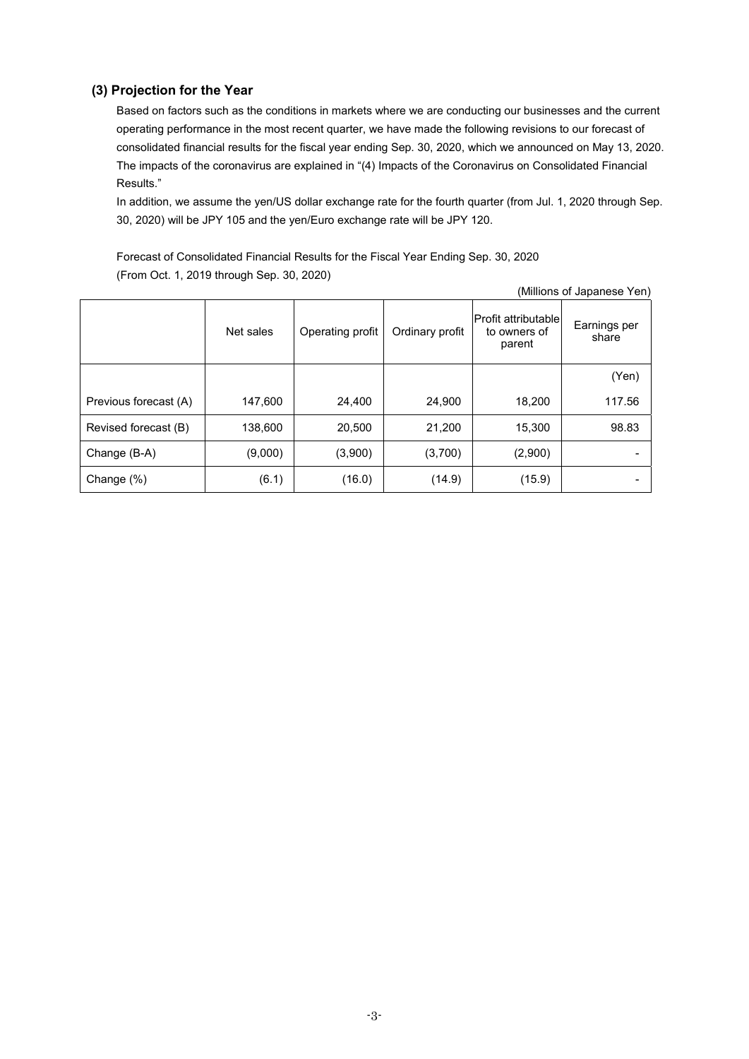### **(3) Projection for the Year**

Based on factors such as the conditions in markets where we are conducting our businesses and the current operating performance in the most recent quarter, we have made the following revisions to our forecast of consolidated financial results for the fiscal year ending Sep. 30, 2020, which we announced on May 13, 2020. The impacts of the coronavirus are explained in "(4) Impacts of the Coronavirus on Consolidated Financial Results."

In addition, we assume the yen/US dollar exchange rate for the fourth quarter (from Jul. 1, 2020 through Sep. 30, 2020) will be JPY 105 and the yen/Euro exchange rate will be JPY 120.

Forecast of Consolidated Financial Results for the Fiscal Year Ending Sep. 30, 2020 (From Oct. 1, 2019 through Sep. 30, 2020)

| (Millions of Japanese Yen) |           |                  |                 |                                                      |                       |  |  |  |  |
|----------------------------|-----------|------------------|-----------------|------------------------------------------------------|-----------------------|--|--|--|--|
|                            | Net sales | Operating profit | Ordinary profit | <b>Profit attributable</b><br>to owners of<br>parent | Earnings per<br>share |  |  |  |  |
|                            |           |                  |                 |                                                      | (Yen)                 |  |  |  |  |
| Previous forecast (A)      | 147,600   | 24,400           | 24,900          | 18,200                                               | 117.56                |  |  |  |  |
| Revised forecast (B)       | 138,600   | 20,500           | 21,200          | 15,300                                               | 98.83                 |  |  |  |  |
| Change (B-A)               | (9,000)   | (3,900)          | (3,700)         | (2,900)                                              |                       |  |  |  |  |
| Change (%)                 | (6.1)     | (16.0)           | (14.9)          | (15.9)                                               |                       |  |  |  |  |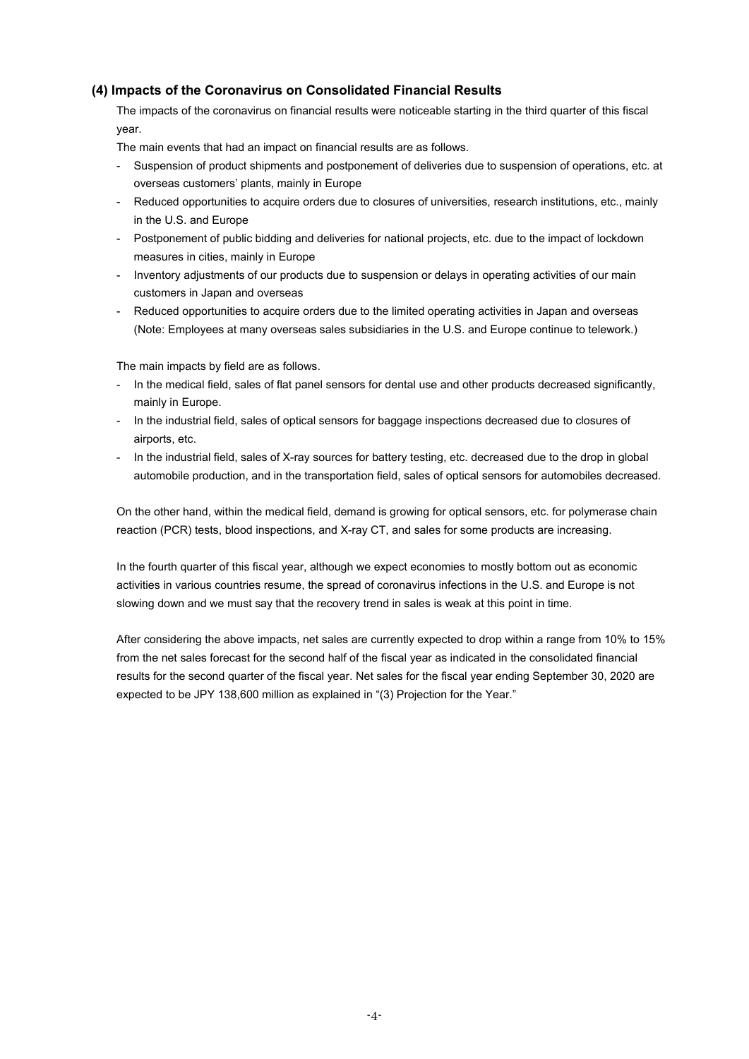### **(4) Impacts of the Coronavirus on Consolidated Financial Results**

The impacts of the coronavirus on financial results were noticeable starting in the third quarter of this fiscal year.

The main events that had an impact on financial results are as follows.

- Suspension of product shipments and postponement of deliveries due to suspension of operations, etc. at overseas customers' plants, mainly in Europe
- Reduced opportunities to acquire orders due to closures of universities, research institutions, etc., mainly in the U.S. and Europe
- Postponement of public bidding and deliveries for national projects, etc. due to the impact of lockdown measures in cities, mainly in Europe
- Inventory adjustments of our products due to suspension or delays in operating activities of our main customers in Japan and overseas
- Reduced opportunities to acquire orders due to the limited operating activities in Japan and overseas (Note: Employees at many overseas sales subsidiaries in the U.S. and Europe continue to telework.)

The main impacts by field are as follows.

- In the medical field, sales of flat panel sensors for dental use and other products decreased significantly, mainly in Europe.
- In the industrial field, sales of optical sensors for baggage inspections decreased due to closures of airports, etc.
- In the industrial field, sales of X-ray sources for battery testing, etc. decreased due to the drop in global automobile production, and in the transportation field, sales of optical sensors for automobiles decreased.

On the other hand, within the medical field, demand is growing for optical sensors, etc. for polymerase chain reaction (PCR) tests, blood inspections, and X-ray CT, and sales for some products are increasing.

In the fourth quarter of this fiscal year, although we expect economies to mostly bottom out as economic activities in various countries resume, the spread of coronavirus infections in the U.S. and Europe is not slowing down and we must say that the recovery trend in sales is weak at this point in time.

After considering the above impacts, net sales are currently expected to drop within a range from 10% to 15% from the net sales forecast for the second half of the fiscal year as indicated in the consolidated financial results for the second quarter of the fiscal year. Net sales for the fiscal year ending September 30, 2020 are expected to be JPY 138,600 million as explained in "(3) Projection for the Year."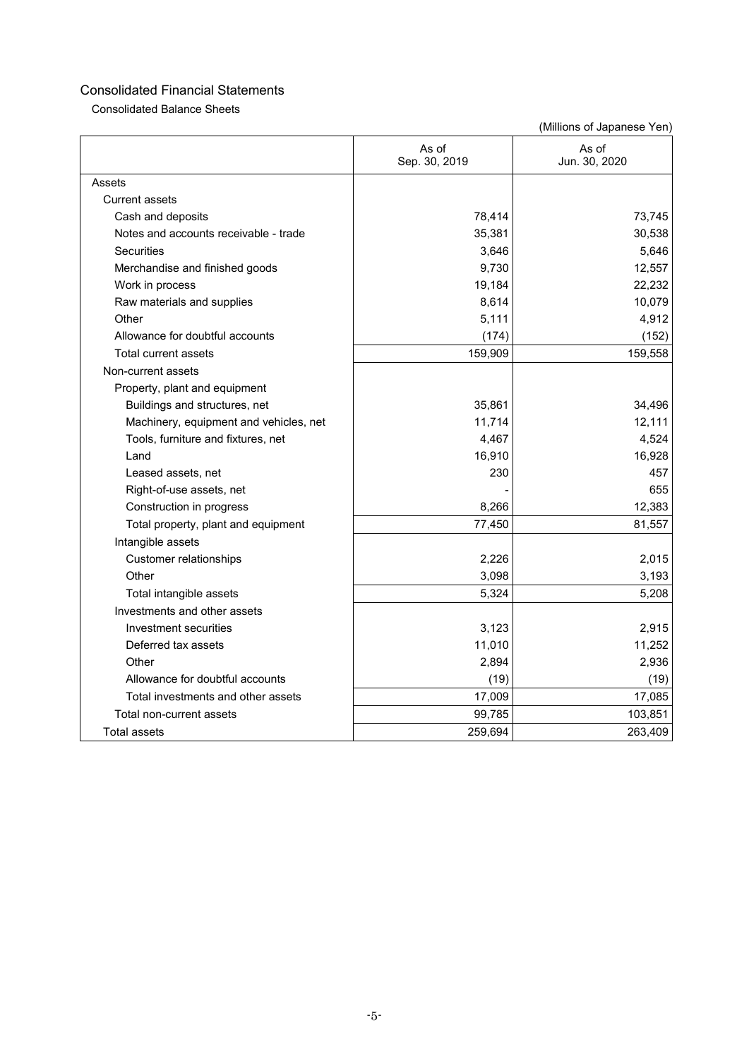Consolidated Balance Sheets

|                                        | As of<br>Sep. 30, 2019 | As of<br>Jun. 30, 2020 |
|----------------------------------------|------------------------|------------------------|
| Assets                                 |                        |                        |
| <b>Current assets</b>                  |                        |                        |
| Cash and deposits                      | 78,414                 | 73,745                 |
| Notes and accounts receivable - trade  | 35,381                 | 30,538                 |
| <b>Securities</b>                      | 3,646                  | 5,646                  |
| Merchandise and finished goods         | 9,730                  | 12,557                 |
| Work in process                        | 19,184                 | 22,232                 |
| Raw materials and supplies             | 8,614                  | 10,079                 |
| Other                                  | 5,111                  | 4,912                  |
| Allowance for doubtful accounts        | (174)                  | (152)                  |
| Total current assets                   | 159,909                | 159,558                |
| Non-current assets                     |                        |                        |
| Property, plant and equipment          |                        |                        |
| Buildings and structures, net          | 35,861                 | 34,496                 |
| Machinery, equipment and vehicles, net | 11,714                 | 12,111                 |
| Tools, furniture and fixtures, net     | 4,467                  | 4,524                  |
| Land                                   | 16,910                 | 16,928                 |
| Leased assets, net                     | 230                    | 457                    |
| Right-of-use assets, net               |                        | 655                    |
| Construction in progress               | 8,266                  | 12,383                 |
| Total property, plant and equipment    | 77,450                 | 81,557                 |
| Intangible assets                      |                        |                        |
| <b>Customer relationships</b>          | 2,226                  | 2,015                  |
| Other                                  | 3,098                  | 3,193                  |
| Total intangible assets                | 5,324                  | 5,208                  |
| Investments and other assets           |                        |                        |
| Investment securities                  | 3,123                  | 2,915                  |
| Deferred tax assets                    | 11,010                 | 11,252                 |
| Other                                  | 2,894                  | 2,936                  |
| Allowance for doubtful accounts        | (19)                   | (19)                   |
| Total investments and other assets     | 17,009                 | 17,085                 |
| Total non-current assets               | 99,785                 | 103,851                |
| <b>Total assets</b>                    | 259,694                | 263,409                |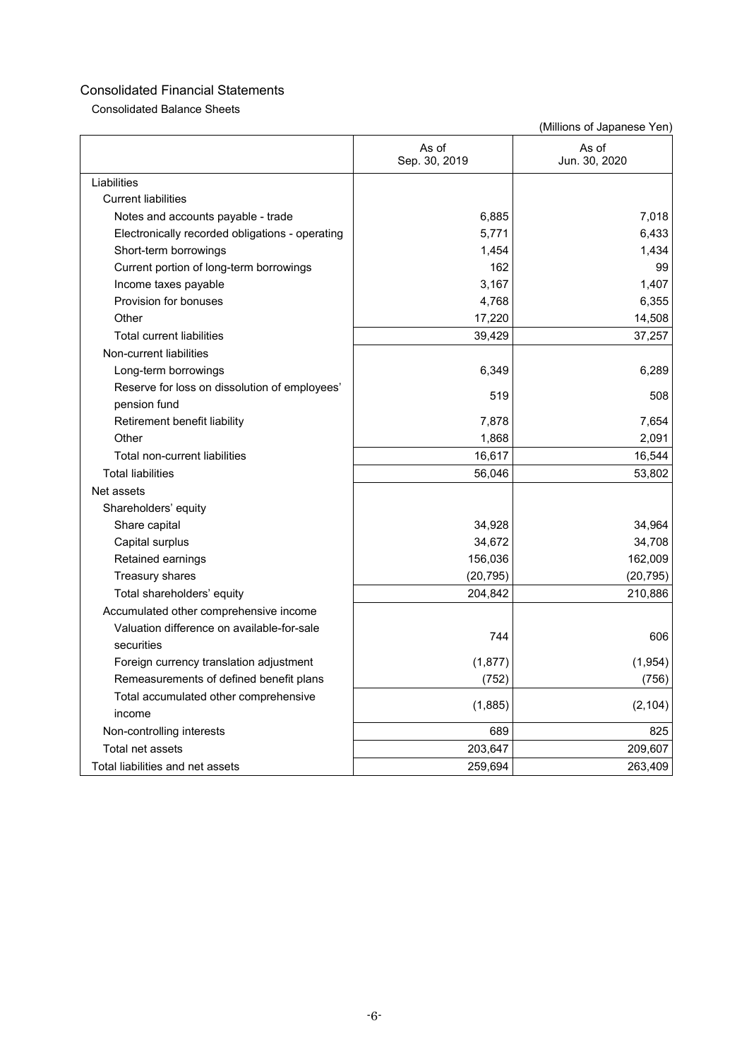Consolidated Balance Sheets

|                                                 | As of<br>Sep. 30, 2019 | As of<br>Jun. 30, 2020 |
|-------------------------------------------------|------------------------|------------------------|
| Liabilities                                     |                        |                        |
| <b>Current liabilities</b>                      |                        |                        |
| Notes and accounts payable - trade              | 6,885                  | 7.018                  |
| Electronically recorded obligations - operating | 5,771                  | 6,433                  |
| Short-term borrowings                           | 1,454                  | 1,434                  |
| Current portion of long-term borrowings         | 162                    | 99                     |
| Income taxes payable                            | 3,167                  | 1,407                  |
| Provision for bonuses                           | 4,768                  | 6,355                  |
| Other                                           | 17,220                 | 14,508                 |
| <b>Total current liabilities</b>                | 39,429                 | 37,257                 |
| Non-current liabilities                         |                        |                        |
| Long-term borrowings                            | 6,349                  | 6,289                  |
| Reserve for loss on dissolution of employees'   | 519                    | 508                    |
| pension fund                                    |                        |                        |
| Retirement benefit liability                    | 7,878                  | 7,654                  |
| Other                                           | 1,868                  | 2,091                  |
| Total non-current liabilities                   | 16,617                 | 16,544                 |
| <b>Total liabilities</b>                        | 56,046                 | 53,802                 |
| Net assets                                      |                        |                        |
| Shareholders' equity                            |                        |                        |
| Share capital                                   | 34,928                 | 34,964                 |
| Capital surplus                                 | 34,672                 | 34,708                 |
| Retained earnings                               | 156,036                | 162,009                |
| Treasury shares                                 | (20, 795)              | (20, 795)              |
| Total shareholders' equity                      | 204,842                | 210,886                |
| Accumulated other comprehensive income          |                        |                        |
| Valuation difference on available-for-sale      | 744                    | 606                    |
| securities                                      |                        |                        |
| Foreign currency translation adjustment         | (1, 877)               | (1, 954)               |
| Remeasurements of defined benefit plans         | (752)                  | (756)                  |
| Total accumulated other comprehensive<br>income | (1,885)                | (2, 104)               |
| Non-controlling interests                       | 689                    | 825                    |
| Total net assets                                | 203,647                | 209,607                |
| Total liabilities and net assets                | 259,694                | 263,409                |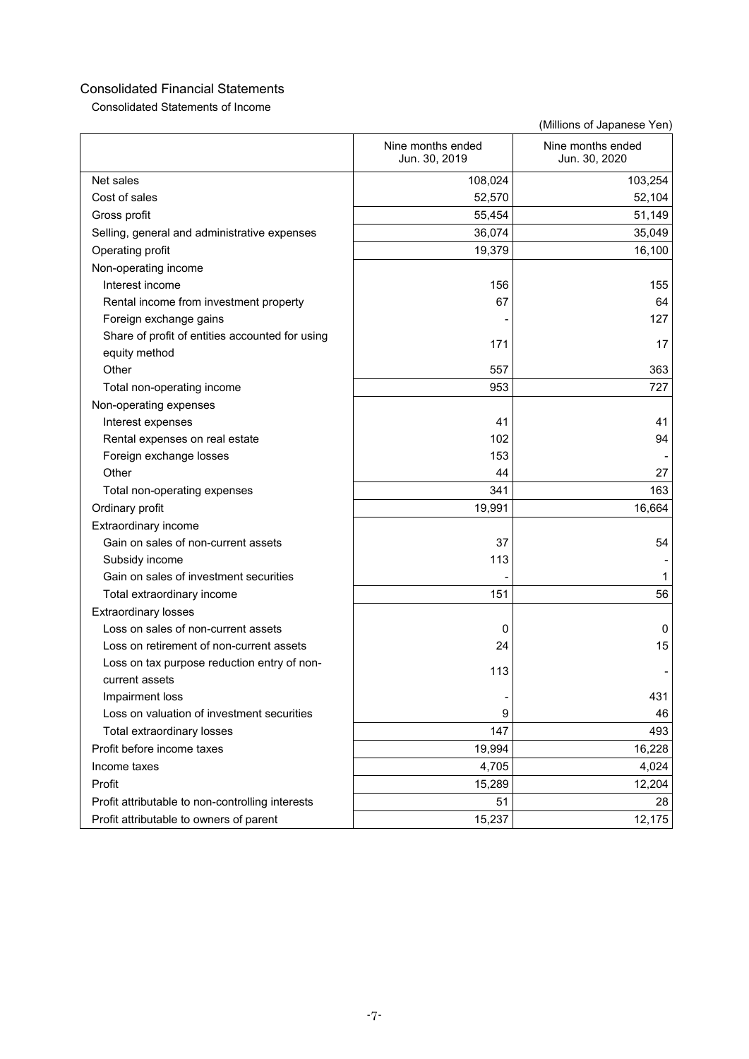Consolidated Statements of Income

|                                                  | Nine months ended<br>Jun. 30, 2019 | Nine months ended<br>Jun. 30, 2020 |
|--------------------------------------------------|------------------------------------|------------------------------------|
| Net sales                                        | 108,024                            | 103,254                            |
| Cost of sales                                    | 52,570                             | 52,104                             |
| Gross profit                                     | 55,454                             | 51,149                             |
| Selling, general and administrative expenses     | 36,074                             | 35,049                             |
| Operating profit                                 | 19,379                             | 16,100                             |
| Non-operating income                             |                                    |                                    |
| Interest income                                  | 156                                | 155                                |
| Rental income from investment property           | 67                                 | 64                                 |
| Foreign exchange gains                           |                                    | 127                                |
| Share of profit of entities accounted for using  |                                    |                                    |
| equity method                                    | 171                                | 17                                 |
| Other                                            | 557                                | 363                                |
| Total non-operating income                       | 953                                | 727                                |
| Non-operating expenses                           |                                    |                                    |
| Interest expenses                                | 41                                 | 41                                 |
| Rental expenses on real estate                   | 102                                | 94                                 |
| Foreign exchange losses                          | 153                                |                                    |
| Other                                            | 44                                 | 27                                 |
| Total non-operating expenses                     | 341                                | 163                                |
| Ordinary profit                                  | 19,991                             | 16,664                             |
| Extraordinary income                             |                                    |                                    |
| Gain on sales of non-current assets              | 37                                 | 54                                 |
| Subsidy income                                   | 113                                |                                    |
| Gain on sales of investment securities           |                                    | 1                                  |
| Total extraordinary income                       | 151                                | 56                                 |
| <b>Extraordinary losses</b>                      |                                    |                                    |
| Loss on sales of non-current assets              | 0                                  | 0                                  |
| Loss on retirement of non-current assets         | 24                                 | 15                                 |
| Loss on tax purpose reduction entry of non-      | 113                                |                                    |
| current assets                                   |                                    |                                    |
| Impairment loss                                  |                                    | 431                                |
| Loss on valuation of investment securities       | 9                                  | 46                                 |
| Total extraordinary losses                       | 147                                | 493                                |
| Profit before income taxes                       | 19,994                             | 16,228                             |
| Income taxes                                     | 4,705                              | 4,024                              |
| Profit                                           | 15,289                             | 12,204                             |
| Profit attributable to non-controlling interests | 51                                 | 28                                 |
| Profit attributable to owners of parent          | 15,237                             | 12,175                             |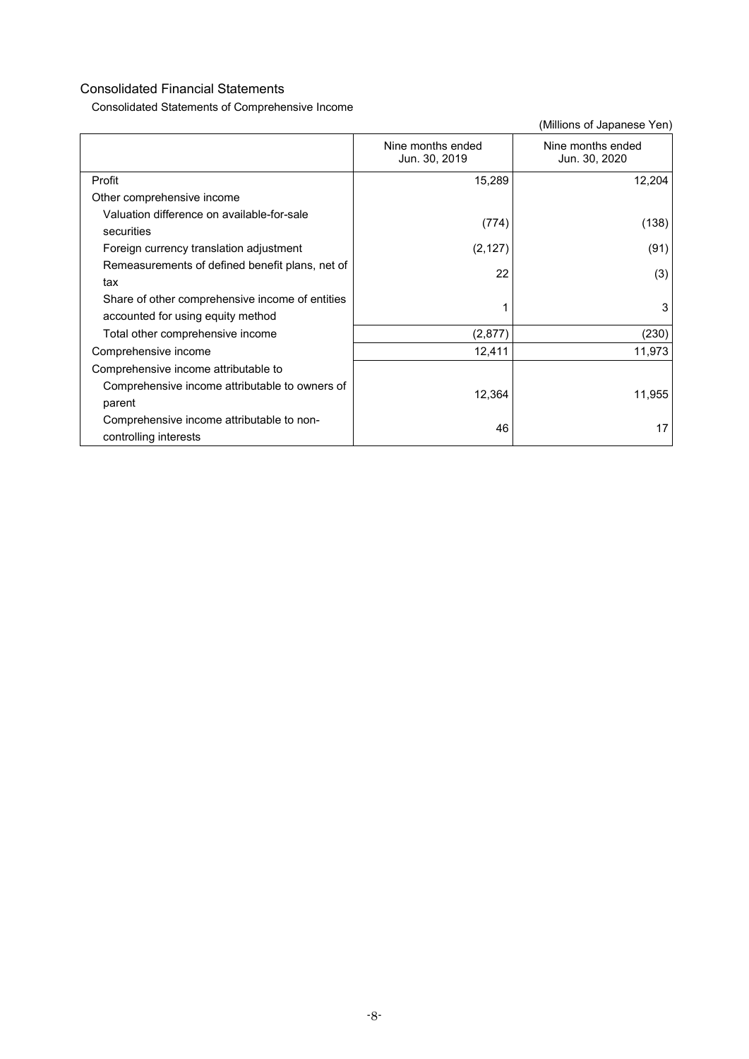Consolidated Statements of Comprehensive Income

|                                                                                      | Nine months ended<br>Jun. 30, 2019 | Nine months ended<br>Jun. 30, 2020 |
|--------------------------------------------------------------------------------------|------------------------------------|------------------------------------|
| Profit                                                                               | 15,289                             | 12,204                             |
| Other comprehensive income                                                           |                                    |                                    |
| Valuation difference on available-for-sale<br>securities                             | (774)                              | (138)                              |
| Foreign currency translation adjustment                                              | (2, 127)                           | (91)                               |
| Remeasurements of defined benefit plans, net of<br>tax                               | 22                                 | (3)                                |
| Share of other comprehensive income of entities<br>accounted for using equity method |                                    | 3                                  |
| Total other comprehensive income                                                     | (2, 877)                           | (230)                              |
| Comprehensive income                                                                 | 12,411                             | 11,973                             |
| Comprehensive income attributable to                                                 |                                    |                                    |
| Comprehensive income attributable to owners of<br>parent                             | 12,364                             | 11,955                             |
| Comprehensive income attributable to non-<br>controlling interests                   | 46                                 | 17                                 |